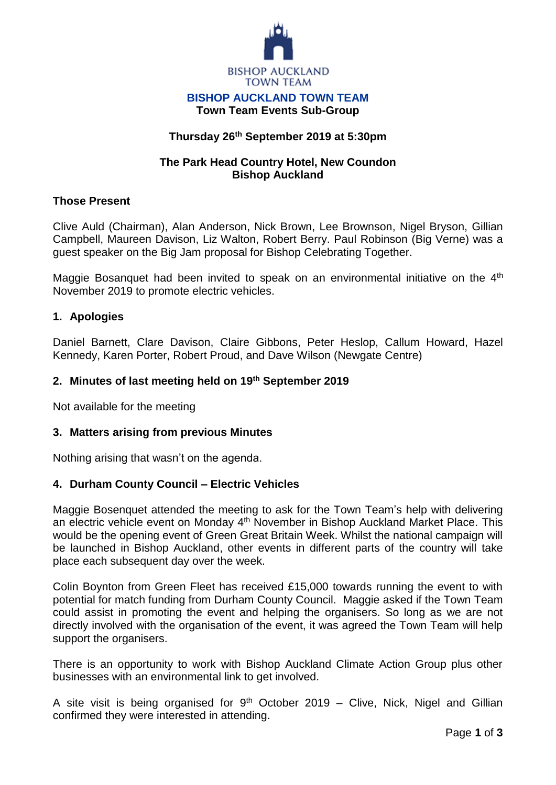

#### **BISHOP AUCKLAND TOWN TEAM Town Team Events Sub-Group**

# **Thursday 26th September 2019 at 5:30pm**

## **The Park Head Country Hotel, New Coundon Bishop Auckland**

## **Those Present**

Clive Auld (Chairman), Alan Anderson, Nick Brown, Lee Brownson, Nigel Bryson, Gillian Campbell, Maureen Davison, Liz Walton, Robert Berry. Paul Robinson (Big Verne) was a guest speaker on the Big Jam proposal for Bishop Celebrating Together.

Maggie Bosanquet had been invited to speak on an environmental initiative on the 4<sup>th</sup> November 2019 to promote electric vehicles.

## **1. Apologies**

Daniel Barnett, Clare Davison, Claire Gibbons, Peter Heslop, Callum Howard, Hazel Kennedy, Karen Porter, Robert Proud, and Dave Wilson (Newgate Centre)

## **2. Minutes of last meeting held on 19th September 2019**

Not available for the meeting

### **3. Matters arising from previous Minutes**

Nothing arising that wasn't on the agenda.

### **4. Durham County Council – Electric Vehicles**

Maggie Bosenquet attended the meeting to ask for the Town Team's help with delivering an electric vehicle event on Monday 4<sup>th</sup> November in Bishop Auckland Market Place. This would be the opening event of Green Great Britain Week. Whilst the national campaign will be launched in Bishop Auckland, other events in different parts of the country will take place each subsequent day over the week.

Colin Boynton from Green Fleet has received £15,000 towards running the event to with potential for match funding from Durham County Council. Maggie asked if the Town Team could assist in promoting the event and helping the organisers. So long as we are not directly involved with the organisation of the event, it was agreed the Town Team will help support the organisers.

There is an opportunity to work with Bishop Auckland Climate Action Group plus other businesses with an environmental link to get involved.

A site visit is being organised for  $9<sup>th</sup>$  October 2019 – Clive, Nick, Nigel and Gillian confirmed they were interested in attending.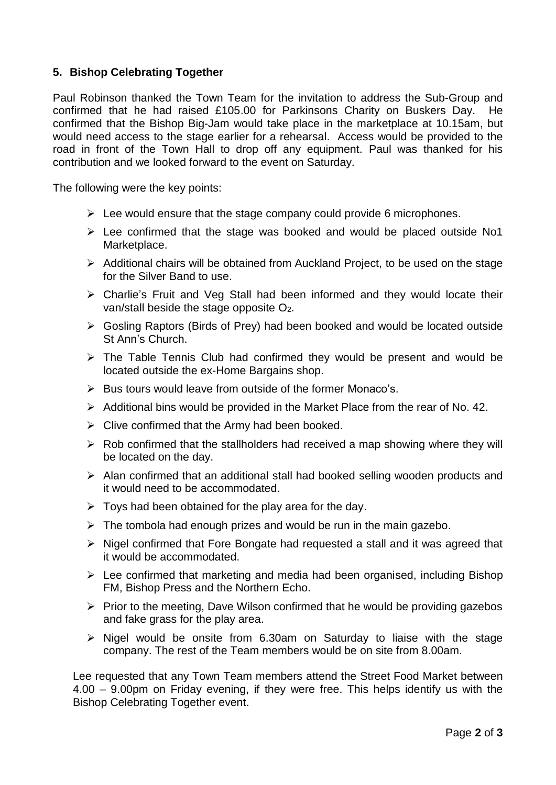# **5. Bishop Celebrating Together**

Paul Robinson thanked the Town Team for the invitation to address the Sub-Group and confirmed that he had raised £105.00 for Parkinsons Charity on Buskers Day. He confirmed that the Bishop Big-Jam would take place in the marketplace at 10.15am, but would need access to the stage earlier for a rehearsal. Access would be provided to the road in front of the Town Hall to drop off any equipment. Paul was thanked for his contribution and we looked forward to the event on Saturday.

The following were the key points:

- $\triangleright$  Lee would ensure that the stage company could provide 6 microphones.
- $\triangleright$  Lee confirmed that the stage was booked and would be placed outside No1 Marketplace.
- $\triangleright$  Additional chairs will be obtained from Auckland Project, to be used on the stage for the Silver Band to use.
- $\triangleright$  Charlie's Fruit and Veg Stall had been informed and they would locate their van/stall beside the stage opposite O2.
- Gosling Raptors (Birds of Prey) had been booked and would be located outside St Ann's Church.
- $\triangleright$  The Table Tennis Club had confirmed they would be present and would be located outside the ex-Home Bargains shop.
- $\triangleright$  Bus tours would leave from outside of the former Monaco's.
- $\triangleright$  Additional bins would be provided in the Market Place from the rear of No. 42.
- $\triangleright$  Clive confirmed that the Army had been booked.
- $\triangleright$  Rob confirmed that the stallholders had received a map showing where they will be located on the day.
- Alan confirmed that an additional stall had booked selling wooden products and it would need to be accommodated.
- $\triangleright$  Toys had been obtained for the play area for the day.
- $\triangleright$  The tombola had enough prizes and would be run in the main gazebo.
- $\triangleright$  Nigel confirmed that Fore Bongate had requested a stall and it was agreed that it would be accommodated.
- $\triangleright$  Lee confirmed that marketing and media had been organised, including Bishop FM, Bishop Press and the Northern Echo.
- $\triangleright$  Prior to the meeting, Dave Wilson confirmed that he would be providing gazebos and fake grass for the play area.
- $\triangleright$  Nigel would be onsite from 6.30am on Saturday to liaise with the stage company. The rest of the Team members would be on site from 8.00am.

Lee requested that any Town Team members attend the Street Food Market between 4.00 – 9.00pm on Friday evening, if they were free. This helps identify us with the Bishop Celebrating Together event.